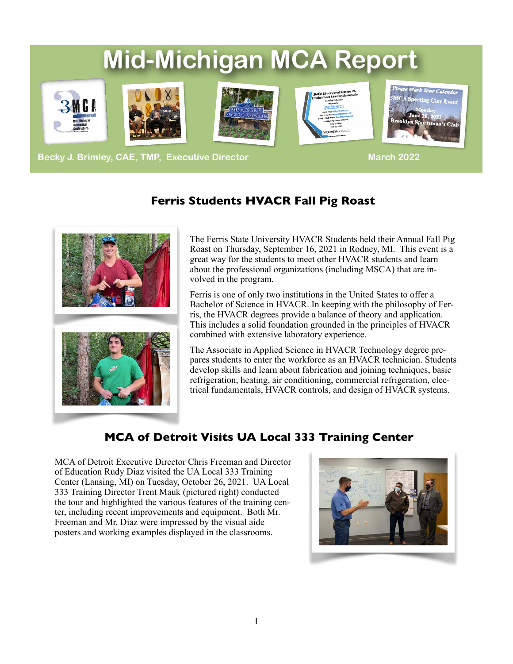# **Mid-Michigan MCA Report**









**Becky J. Brimley, CAE, TMP, Executive Director March 2022 March 2022** 

## **Ferris Students HVACR Fall Pig Roast**



The Ferris State University HVACR Students held their Annual Fall Pig Roast on Thursday, September 16, 2021 in Rodney, MI. This event is a great way for the students to meet other HVACR students and learn about the professional organizations (including MSCA) that are involved in the program.

Ferris is one of only two institutions in the United States to offer a Bachelor of Science in HVACR. In keeping with the philosophy of Ferris, the HVACR degrees provide a balance of theory and application. This includes a solid foundation grounded in the principles of HVACR combined with extensive laboratory experience.

The Associate in Applied Science in HVACR Technology degree prepares students to enter the workforce as an HVACR technician. Students develop skills and learn about fabrication and joining techniques, basic refrigeration, heating, air conditioning, commercial refrigeration, electrical fundamentals, HVACR controls, and design of HVACR systems.

## **MCA of Detroit Visits UA Local 333 Training Center**

MCA of Detroit Executive Director Chris Freeman and Director of Education Rudy Diaz visited the UA Local 333 Training Center (Lansing, MI) on Tuesday, October 26, 2021. UA Local 333 Training Director Trent Mauk (pictured right) conducted the tour and highlighted the various features of the training center, including recent improvements and equipment. Both Mr. Freeman and Mr. Diaz were impressed by the visual aide posters and working examples displayed in the classrooms.